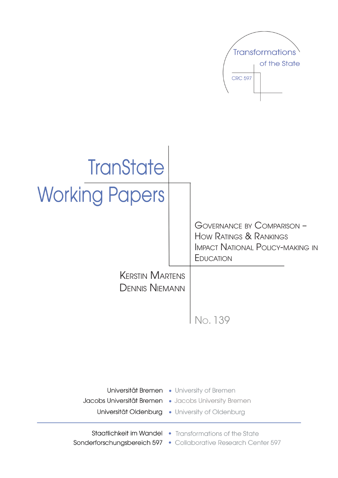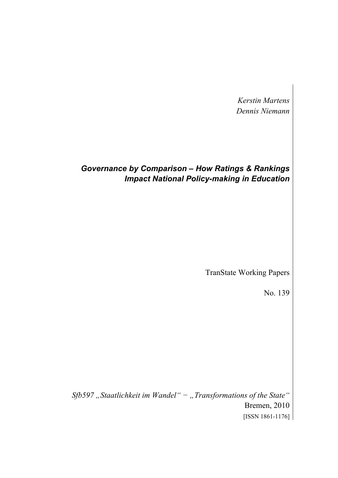*Kerstin Martens Dennis Niemann* 

# *Governance by Comparison – How Ratings & Rankings Impact National Policy-making in Education*

TranState Working Papers

No. 139

*Sfb597 "Staatlichkeit im Wandel" − "Transformations of the State"*  Bremen, 2010 [ISSN 1861-1176]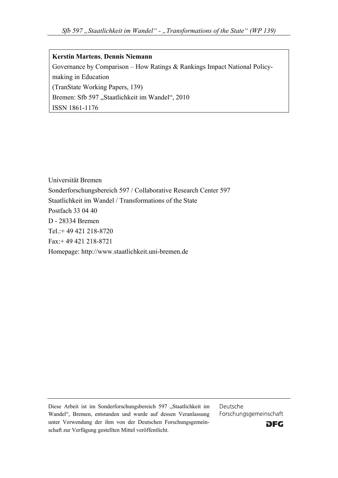# **Kerstin Martens**, **Dennis Niemann** Governance by Comparison – How Ratings & Rankings Impact National Policymaking in Education (TranState Working Papers, 139) Bremen: Sfb 597 "Staatlichkeit im Wandel", 2010 ISSN 1861-1176

Universität Bremen Sonderforschungsbereich 597 / Collaborative Research Center 597 Staatlichkeit im Wandel / Transformations of the State Postfach 33 04 40 D - 28334 Bremen

Tel : + 49 421 218-8720

Fax:+ 49 421 218-8721

Homepage: http://www.staatlichkeit.uni-bremen.de

Diese Arbeit ist im Sonderforschungsbereich 597 "Staatlichkeit im Wandel", Bremen, entstanden und wurde auf dessen Veranlassung unter Verwendung der ihm von der Deutschen Forschungsgemeinschaft zur Verfügung gestellten Mittel veröffentlicht.

Deutsche Forschungsgemeinschaft

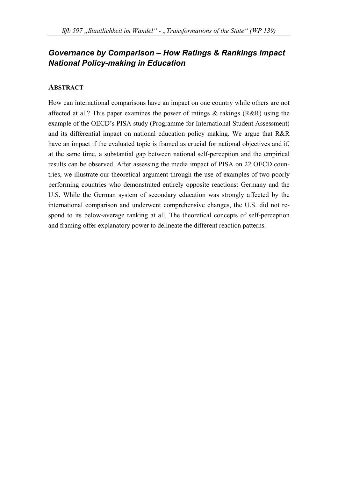# *Governance by Comparison – How Ratings & Rankings Impact National Policy-making in Education*

### **ABSTRACT**

How can international comparisons have an impact on one country while others are not affected at all? This paper examines the power of ratings  $\&$  rakings (R&R) using the example of the OECD's PISA study (Programme for International Student Assessment) and its differential impact on national education policy making. We argue that R&R have an impact if the evaluated topic is framed as crucial for national objectives and if, at the same time, a substantial gap between national self-perception and the empirical results can be observed. After assessing the media impact of PISA on 22 OECD countries, we illustrate our theoretical argument through the use of examples of two poorly performing countries who demonstrated entirely opposite reactions: Germany and the U.S. While the German system of secondary education was strongly affected by the international comparison and underwent comprehensive changes, the U.S. did not respond to its below-average ranking at all. The theoretical concepts of self-perception and framing offer explanatory power to delineate the different reaction patterns.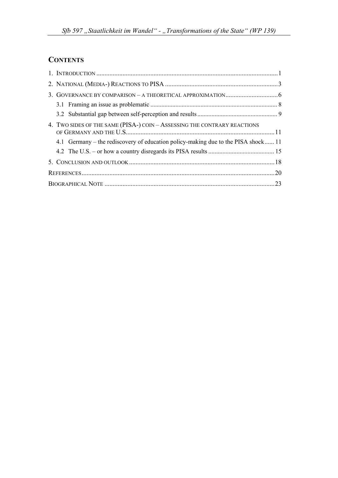# **CONTENTS**

|  | 4. TWO SIDES OF THE SAME (PISA-) COIN - ASSESSING THE CONTRARY REACTIONS          |  |
|--|-----------------------------------------------------------------------------------|--|
|  | 4.1 Germany – the rediscovery of education policy-making due to the PISA shock 11 |  |
|  |                                                                                   |  |
|  |                                                                                   |  |
|  |                                                                                   |  |
|  |                                                                                   |  |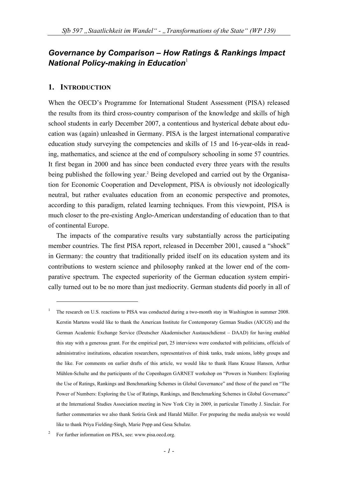## *Governance by Comparison – How Ratings & Rankings Impact*   $\bm{N}$ ational Policy-making in Education $^1$

#### **1. INTRODUCTION**

1

When the OECD's Programme for International Student Assessment (PISA) released the results from its third cross-country comparison of the knowledge and skills of high school students in early December 2007, a contentious and hysterical debate about education was (again) unleashed in Germany. PISA is the largest international comparative education study surveying the competencies and skills of 15 and 16-year-olds in reading, mathematics, and science at the end of compulsory schooling in some 57 countries. It first began in 2000 and has since been conducted every three years with the results being published the following year.<sup>2</sup> Being developed and carried out by the Organisation for Economic Cooperation and Development, PISA is obviously not ideologically neutral, but rather evaluates education from an economic perspective and promotes, according to this paradigm, related learning techniques. From this viewpoint, PISA is much closer to the pre-existing Anglo-American understanding of education than to that of continental Europe.

The impacts of the comparative results vary substantially across the participating member countries. The first PISA report, released in December 2001, caused a "shock" in Germany: the country that traditionally prided itself on its education system and its contributions to western science and philosophy ranked at the lower end of the comparative spectrum. The expected superiority of the German education system empirically turned out to be no more than just mediocrity. German students did poorly in all of

<sup>1</sup> The research on U.S. reactions to PISA was conducted during a two-month stay in Washington in summer 2008. Kerstin Martens would like to thank the American Institute for Contemporary German Studies (AICGS) and the German Academic Exchange Service (Deutscher Akademischer Austauschdienst – DAAD) for having enabled this stay with a generous grant. For the empirical part, 25 interviews were conducted with politicians, officials of administrative institutions, education researchers, representatives of think tanks, trade unions, lobby groups and the like. For comments on earlier drafts of this article, we would like to thank Hans Krause Hansen, Arthur Mühlen-Schulte and the participants of the Copenhagen GARNET workshop on "Powers in Numbers: Exploring the Use of Ratings, Rankings and Benchmarking Schemes in Global Governance" and those of the panel on "The Power of Numbers: Exploring the Use of Ratings, Rankings, and Benchmarking Schemes in Global Governance" at the International Studies Association meeting in New York City in 2009, in particular Timothy J. Sinclair. For further commentaries we also thank Sotiria Grek and Harald Müller. For preparing the media analysis we would like to thank Priya Fielding-Singh, Marie Popp and Gesa Schulze.

<sup>2</sup> For further information on PISA, see: www.pisa.oecd.org.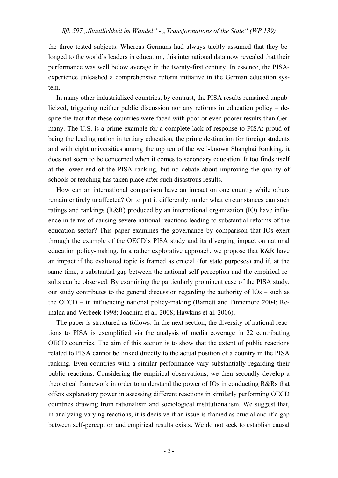the three tested subjects. Whereas Germans had always tacitly assumed that they belonged to the world's leaders in education, this international data now revealed that their performance was well below average in the twenty-first century. In essence, the PISAexperience unleashed a comprehensive reform initiative in the German education system.

In many other industrialized countries, by contrast, the PISA results remained unpublicized, triggering neither public discussion nor any reforms in education policy – despite the fact that these countries were faced with poor or even poorer results than Germany. The U.S. is a prime example for a complete lack of response to PISA: proud of being the leading nation in tertiary education, the prime destination for foreign students and with eight universities among the top ten of the well-known Shanghai Ranking, it does not seem to be concerned when it comes to secondary education. It too finds itself at the lower end of the PISA ranking, but no debate about improving the quality of schools or teaching has taken place after such disastrous results.

How can an international comparison have an impact on one country while others remain entirely unaffected? Or to put it differently: under what circumstances can such ratings and rankings (R&R) produced by an international organization (IO) have influence in terms of causing severe national reactions leading to substantial reforms of the education sector? This paper examines the governance by comparison that IOs exert through the example of the OECD's PISA study and its diverging impact on national education policy-making. In a rather explorative approach, we propose that R&R have an impact if the evaluated topic is framed as crucial (for state purposes) and if, at the same time, a substantial gap between the national self-perception and the empirical results can be observed. By examining the particularly prominent case of the PISA study, our study contributes to the general discussion regarding the authority of IOs – such as the OECD – in influencing national policy-making (Barnett and Finnemore 2004; Reinalda and Verbeek 1998; Joachim et al. 2008; Hawkins et al. 2006).

The paper is structured as follows: In the next section, the diversity of national reactions to PISA is exemplified via the analysis of media coverage in 22 contributing OECD countries. The aim of this section is to show that the extent of public reactions related to PISA cannot be linked directly to the actual position of a country in the PISA ranking. Even countries with a similar performance vary substantially regarding their public reactions. Considering the empirical observations, we then secondly develop a theoretical framework in order to understand the power of IOs in conducting R&Rs that offers explanatory power in assessing different reactions in similarly performing OECD countries drawing from rationalism and sociological institutionalism. We suggest that, in analyzing varying reactions, it is decisive if an issue is framed as crucial and if a gap between self-perception and empirical results exists. We do not seek to establish causal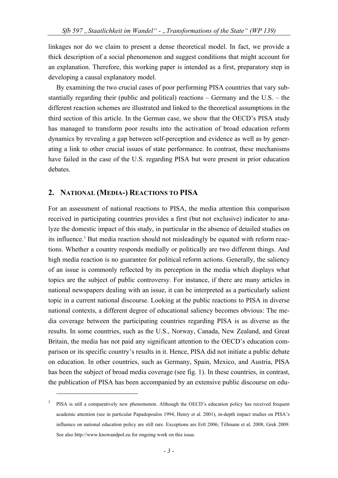linkages nor do we claim to present a dense theoretical model. In fact, we provide a thick description of a social phenomenon and suggest conditions that might account for an explanation. Therefore, this working paper is intended as a first, preparatory step in developing a causal explanatory model.

By examining the two crucial cases of poor performing PISA countries that vary substantially regarding their (public and political) reactions – Germany and the U.S. – the different reaction schemes are illustrated and linked to the theoretical assumptions in the third section of this article. In the German case, we show that the OECD's PISA study has managed to transform poor results into the activation of broad education reform dynamics by revealing a gap between self-perception and evidence as well as by generating a link to other crucial issues of state performance. In contrast, these mechanisms have failed in the case of the U.S. regarding PISA but were present in prior education debates.

#### **2. NATIONAL (MEDIA-) REACTIONS TO PISA**

1

For an assessment of national reactions to PISA, the media attention this comparison received in participating countries provides a first (but not exclusive) indicator to analyze the domestic impact of this study, in particular in the absence of detailed studies on its influence.<sup>3</sup> But media reaction should not misleadingly be equated with reform reactions. Whether a country responds medially or politically are two different things. And high media reaction is no guarantee for political reform actions. Generally, the saliency of an issue is commonly reflected by its perception in the media which displays what topics are the subject of public controversy. For instance, if there are many articles in national newspapers dealing with an issue, it can be interpreted as a particularly salient topic in a current national discourse. Looking at the public reactions to PISA in diverse national contexts, a different degree of educational saliency becomes obvious: The media coverage between the participating countries regarding PISA is as diverse as the results. In some countries, such as the U.S., Norway, Canada, New Zealand, and Great Britain, the media has not paid any significant attention to the OECD's education comparison or its specific country's results in it. Hence, PISA did not initiate a public debate on education. In other countries, such as Germany, Spain, Mexico, and Austria, PISA has been the subject of broad media coverage (see fig. 1). In these countries, in contrast, the publication of PISA has been accompanied by an extensive public discourse on edu-

<sup>3</sup> PISA is still a comparatively new phenomenon. Although the OECD's education policy has received frequent academic attention (see in particular Papadopoulos 1994, Henry et al. 2001), in-depth impact studies on PISA's influence on national education policy are still rare. Exceptions are Ertl 2006; Tillmann et al. 2008; Grek 2009. See also http://www.knowandpol.eu for ongoing work on this issue.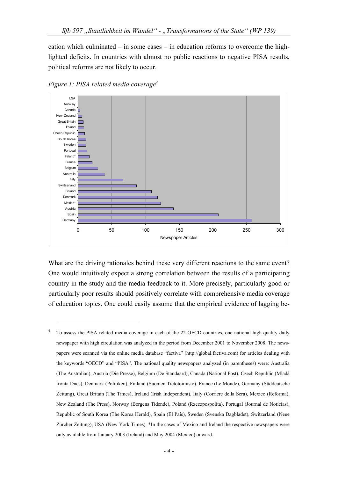cation which culminated – in some cases – in education reforms to overcome the highlighted deficits. In countries with almost no public reactions to negative PISA results, political reforms are not likely to occur.



*Figure 1: PISA related media coverage4*

1

What are the driving rationales behind these very different reactions to the same event? One would intuitively expect a strong correlation between the results of a participating country in the study and the media feedback to it. More precisely, particularly good or particularly poor results should positively correlate with comprehensive media coverage of education topics. One could easily assume that the empirical evidence of lagging be-

<sup>4</sup> To assess the PISA related media coverage in each of the 22 OECD countries, one national high-quality daily newspaper with high circulation was analyzed in the period from December 2001 to November 2008. The newspapers were scanned via the online media database "factiva" (http://global.factiva.com) for articles dealing with the keywords "OECD" and "PISA". The national quality newspapers analyzed (in parentheses) were: Australia (The Australian), Austria (Die Presse), Belgium (De Standaard), Canada (National Post), Czech Republic (Mladá fronta Dnes), Denmark (Politiken), Finland (Suomen Tietotoimisto), France (Le Monde), Germany (Süddeutsche Zeitung), Great Britain (The Times), Ireland (Irish Independent), Italy (Corriere della Sera), Mexico (Reforma), New Zealand (The Press), Norway (Bergens Tidende), Poland (Rzeczpospolita), Portugal (Journal de Notícias), Republic of South Korea (The Korea Herald), Spain (El País), Sweden (Svenska Dagbladet), Switzerland (Neue Zürcher Zeitung), USA (New York Times). \*In the cases of Mexico and Ireland the respective newspapers were only available from January 2003 (Ireland) and May 2004 (Mexico) onward.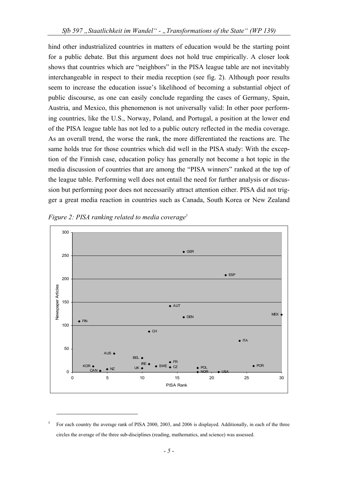hind other industrialized countries in matters of education would be the starting point for a public debate. But this argument does not hold true empirically. A closer look shows that countries which are "neighbors" in the PISA league table are not inevitably interchangeable in respect to their media reception (see fig. 2). Although poor results seem to increase the education issue's likelihood of becoming a substantial object of public discourse, as one can easily conclude regarding the cases of Germany, Spain, Austria, and Mexico, this phenomenon is not universally valid: In other poor performing countries, like the U.S., Norway, Poland, and Portugal, a position at the lower end of the PISA league table has not led to a public outcry reflected in the media coverage. As an overall trend, the worse the rank, the more differentiated the reactions are. The same holds true for those countries which did well in the PISA study: With the exception of the Finnish case, education policy has generally not become a hot topic in the media discussion of countries that are among the "PISA winners" ranked at the top of the league table. Performing well does not entail the need for further analysis or discussion but performing poor does not necessarily attract attention either. PISA did not trigger a great media reaction in countries such as Canada, South Korea or New Zealand



*Figure 2: PISA ranking related to media coverage<sup>5</sup>* 

<sup>5</sup> For each country the average rank of PISA 2000, 2003, and 2006 is displayed. Additionally, in each of the three circles the average of the three sub-disciplines (reading, mathematics, and science) was assessed.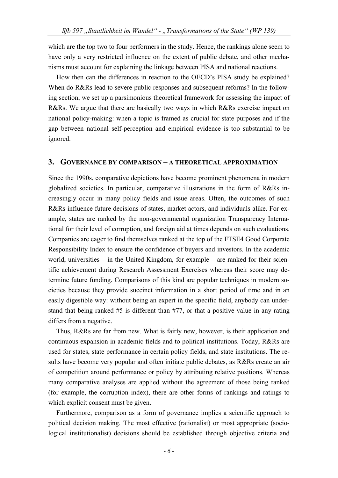which are the top two to four performers in the study. Hence, the rankings alone seem to have only a very restricted influence on the extent of public debate, and other mechanisms must account for explaining the linkage between PISA and national reactions.

How then can the differences in reaction to the OECD's PISA study be explained? When do R&Rs lead to severe public responses and subsequent reforms? In the following section, we set up a parsimonious theoretical framework for assessing the impact of R&Rs. We argue that there are basically two ways in which R&Rs exercise impact on national policy-making: when a topic is framed as crucial for state purposes and if the gap between national self-perception and empirical evidence is too substantial to be ignored.

#### **3. GOVERNANCE BY COMPARISON – A THEORETICAL APPROXIMATION**

Since the 1990s, comparative depictions have become prominent phenomena in modern globalized societies. In particular, comparative illustrations in the form of R&Rs increasingly occur in many policy fields and issue areas. Often, the outcomes of such R&Rs influence future decisions of states, market actors, and individuals alike. For example, states are ranked by the non-governmental organization Transparency International for their level of corruption, and foreign aid at times depends on such evaluations. Companies are eager to find themselves ranked at the top of the FTSE4 Good Corporate Responsibility Index to ensure the confidence of buyers and investors. In the academic world, universities – in the United Kingdom, for example – are ranked for their scientific achievement during Research Assessment Exercises whereas their score may determine future funding. Comparisons of this kind are popular techniques in modern societies because they provide succinct information in a short period of time and in an easily digestible way: without being an expert in the specific field, anybody can understand that being ranked #5 is different than #77, or that a positive value in any rating differs from a negative.

Thus, R&Rs are far from new. What is fairly new, however, is their application and continuous expansion in academic fields and to political institutions. Today, R&Rs are used for states, state performance in certain policy fields, and state institutions. The results have become very popular and often initiate public debates, as R&Rs create an air of competition around performance or policy by attributing relative positions. Whereas many comparative analyses are applied without the agreement of those being ranked (for example, the corruption index), there are other forms of rankings and ratings to which explicit consent must be given.

Furthermore, comparison as a form of governance implies a scientific approach to political decision making. The most effective (rationalist) or most appropriate (sociological institutionalist) decisions should be established through objective criteria and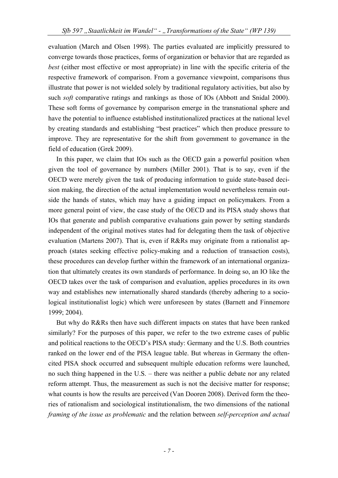evaluation (March and Olsen 1998). The parties evaluated are implicitly pressured to converge towards those practices, forms of organization or behavior that are regarded as *best* (either most effective or most appropriate) in line with the specific criteria of the respective framework of comparison. From a governance viewpoint, comparisons thus illustrate that power is not wielded solely by traditional regulatory activities, but also by such *soft* comparative ratings and rankings as those of IOs (Abbott and Snidal 2000). These soft forms of governance by comparison emerge in the transnational sphere and have the potential to influence established institutionalized practices at the national level by creating standards and establishing "best practices" which then produce pressure to improve. They are representative for the shift from government to governance in the field of education (Grek 2009).

In this paper, we claim that IOs such as the OECD gain a powerful position when given the tool of governance by numbers (Miller 2001). That is to say, even if the OECD were merely given the task of producing information to guide state-based decision making, the direction of the actual implementation would nevertheless remain outside the hands of states, which may have a guiding impact on policymakers. From a more general point of view, the case study of the OECD and its PISA study shows that IOs that generate and publish comparative evaluations gain power by setting standards independent of the original motives states had for delegating them the task of objective evaluation (Martens 2007). That is, even if R&Rs may originate from a rationalist approach (states seeking effective policy-making and a reduction of transaction costs), these procedures can develop further within the framework of an international organization that ultimately creates its own standards of performance. In doing so, an IO like the OECD takes over the task of comparison and evaluation, applies procedures in its own way and establishes new internationally shared standards (thereby adhering to a sociological institutionalist logic) which were unforeseen by states (Barnett and Finnemore 1999; 2004).

But why do R&Rs then have such different impacts on states that have been ranked similarly? For the purposes of this paper, we refer to the two extreme cases of public and political reactions to the OECD's PISA study: Germany and the U.S. Both countries ranked on the lower end of the PISA league table. But whereas in Germany the oftencited PISA shock occurred and subsequent multiple education reforms were launched, no such thing happened in the U.S. – there was neither a public debate nor any related reform attempt. Thus, the measurement as such is not the decisive matter for response; what counts is how the results are perceived (Van Dooren 2008). Derived form the theories of rationalism and sociological institutionalism, the two dimensions of the national *framing of the issue as problematic* and the relation between *self-perception and actual*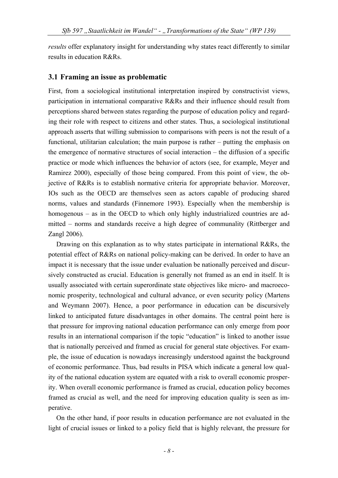*results* offer explanatory insight for understanding why states react differently to similar results in education R&Rs.

#### **3.1 Framing an issue as problematic**

First, from a sociological institutional interpretation inspired by constructivist views, participation in international comparative R&Rs and their influence should result from perceptions shared between states regarding the purpose of education policy and regarding their role with respect to citizens and other states. Thus, a sociological institutional approach asserts that willing submission to comparisons with peers is not the result of a functional, utilitarian calculation; the main purpose is rather – putting the emphasis on the emergence of normative structures of social interaction – the diffusion of a specific practice or mode which influences the behavior of actors (see, for example, Meyer and Ramirez 2000), especially of those being compared. From this point of view, the objective of R&Rs is to establish normative criteria for appropriate behavior. Moreover, IOs such as the OECD are themselves seen as actors capable of producing shared norms, values and standards (Finnemore 1993). Especially when the membership is homogenous – as in the OECD to which only highly industrialized countries are admitted – norms and standards receive a high degree of communality (Rittberger and Zangl 2006).

Drawing on this explanation as to why states participate in international R&Rs, the potential effect of R&Rs on national policy-making can be derived. In order to have an impact it is necessary that the issue under evaluation be nationally perceived and discursively constructed as crucial. Education is generally not framed as an end in itself. It is usually associated with certain superordinate state objectives like micro- and macroeconomic prosperity, technological and cultural advance, or even security policy (Martens and Weymann 2007). Hence, a poor performance in education can be discursively linked to anticipated future disadvantages in other domains. The central point here is that pressure for improving national education performance can only emerge from poor results in an international comparison if the topic "education" is linked to another issue that is nationally perceived and framed as crucial for general state objectives. For example, the issue of education is nowadays increasingly understood against the background of economic performance. Thus, bad results in PISA which indicate a general low quality of the national education system are equated with a risk to overall economic prosperity. When overall economic performance is framed as crucial, education policy becomes framed as crucial as well, and the need for improving education quality is seen as imperative.

On the other hand, if poor results in education performance are not evaluated in the light of crucial issues or linked to a policy field that is highly relevant, the pressure for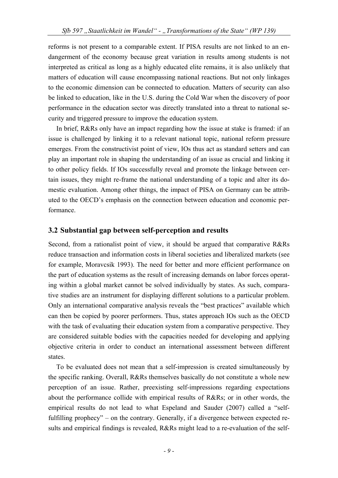reforms is not present to a comparable extent. If PISA results are not linked to an endangerment of the economy because great variation in results among students is not interpreted as critical as long as a highly educated elite remains, it is also unlikely that matters of education will cause encompassing national reactions. But not only linkages to the economic dimension can be connected to education. Matters of security can also be linked to education, like in the U.S. during the Cold War when the discovery of poor performance in the education sector was directly translated into a threat to national security and triggered pressure to improve the education system.

In brief, R&Rs only have an impact regarding how the issue at stake is framed: if an issue is challenged by linking it to a relevant national topic, national reform pressure emerges. From the constructivist point of view, IOs thus act as standard setters and can play an important role in shaping the understanding of an issue as crucial and linking it to other policy fields. If IOs successfully reveal and promote the linkage between certain issues, they might re-frame the national understanding of a topic and alter its domestic evaluation. Among other things, the impact of PISA on Germany can be attributed to the OECD's emphasis on the connection between education and economic performance.

### **3.2 Substantial gap between self-perception and results**

Second, from a rationalist point of view, it should be argued that comparative R&Rs reduce transaction and information costs in liberal societies and liberalized markets (see for example, Moravcsik 1993). The need for better and more efficient performance on the part of education systems as the result of increasing demands on labor forces operating within a global market cannot be solved individually by states. As such, comparative studies are an instrument for displaying different solutions to a particular problem. Only an international comparative analysis reveals the "best practices" available which can then be copied by poorer performers. Thus, states approach IOs such as the OECD with the task of evaluating their education system from a comparative perspective. They are considered suitable bodies with the capacities needed for developing and applying objective criteria in order to conduct an international assessment between different states.

To be evaluated does not mean that a self-impression is created simultaneously by the specific ranking. Overall, R&Rs themselves basically do not constitute a whole new perception of an issue. Rather, preexisting self-impressions regarding expectations about the performance collide with empirical results of R&Rs; or in other words, the empirical results do not lead to what Espeland and Sauder (2007) called a "selffulfilling prophecy" – on the contrary. Generally, if a divergence between expected results and empirical findings is revealed, R&Rs might lead to a re-evaluation of the self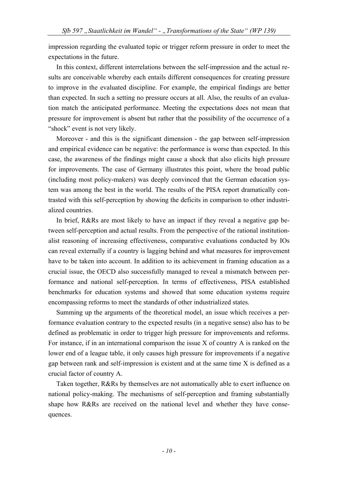impression regarding the evaluated topic or trigger reform pressure in order to meet the expectations in the future.

In this context, different interrelations between the self-impression and the actual results are conceivable whereby each entails different consequences for creating pressure to improve in the evaluated discipline. For example, the empirical findings are better than expected. In such a setting no pressure occurs at all. Also, the results of an evaluation match the anticipated performance. Meeting the expectations does not mean that pressure for improvement is absent but rather that the possibility of the occurrence of a "shock" event is not very likely.

Moreover - and this is the significant dimension - the gap between self-impression and empirical evidence can be negative: the performance is worse than expected. In this case, the awareness of the findings might cause a shock that also elicits high pressure for improvements. The case of Germany illustrates this point, where the broad public (including most policy-makers) was deeply convinced that the German education system was among the best in the world. The results of the PISA report dramatically contrasted with this self-perception by showing the deficits in comparison to other industrialized countries.

In brief, R&Rs are most likely to have an impact if they reveal a negative gap between self-perception and actual results. From the perspective of the rational institutionalist reasoning of increasing effectiveness, comparative evaluations conducted by IOs can reveal externally if a country is lagging behind and what measures for improvement have to be taken into account. In addition to its achievement in framing education as a crucial issue, the OECD also successfully managed to reveal a mismatch between performance and national self-perception. In terms of effectiveness, PISA established benchmarks for education systems and showed that some education systems require encompassing reforms to meet the standards of other industrialized states.

Summing up the arguments of the theoretical model, an issue which receives a performance evaluation contrary to the expected results (in a negative sense) also has to be defined as problematic in order to trigger high pressure for improvements and reforms. For instance, if in an international comparison the issue X of country A is ranked on the lower end of a league table, it only causes high pressure for improvements if a negative gap between rank and self-impression is existent and at the same time X is defined as a crucial factor of country A.

Taken together, R&Rs by themselves are not automatically able to exert influence on national policy-making. The mechanisms of self-perception and framing substantially shape how R&Rs are received on the national level and whether they have consequences.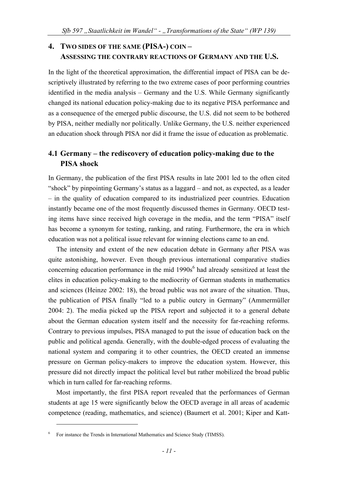## **4. TWO SIDES OF THE SAME (PISA-) COIN – ASSESSING THE CONTRARY REACTIONS OF GERMANY AND THE U.S.**

In the light of the theoretical approximation, the differential impact of PISA can be descriptively illustrated by referring to the two extreme cases of poor performing countries identified in the media analysis – Germany and the U.S. While Germany significantly changed its national education policy-making due to its negative PISA performance and as a consequence of the emerged public discourse, the U.S. did not seem to be bothered by PISA, neither medially nor politically. Unlike Germany, the U.S. neither experienced an education shock through PISA nor did it frame the issue of education as problematic.

## **4.1 Germany – the rediscovery of education policy-making due to the PISA shock**

In Germany, the publication of the first PISA results in late 2001 led to the often cited "shock" by pinpointing Germany's status as a laggard – and not, as expected, as a leader – in the quality of education compared to its industrialized peer countries. Education instantly became one of the most frequently discussed themes in Germany. OECD testing items have since received high coverage in the media, and the term "PISA" itself has become a synonym for testing, ranking, and rating. Furthermore, the era in which education was not a political issue relevant for winning elections came to an end.

The intensity and extent of the new education debate in Germany after PISA was quite astonishing, however. Even though previous international comparative studies concerning education performance in the mid  $1990s<sup>6</sup>$  had already sensitized at least the elites in education policy-making to the mediocrity of German students in mathematics and sciences (Heinze 2002: 18), the broad public was not aware of the situation. Thus, the publication of PISA finally "led to a public outcry in Germany" (Ammermüller 2004: 2). The media picked up the PISA report and subjected it to a general debate about the German education system itself and the necessity for far-reaching reforms. Contrary to previous impulses, PISA managed to put the issue of education back on the public and political agenda. Generally, with the double-edged process of evaluating the national system and comparing it to other countries, the OECD created an immense pressure on German policy-makers to improve the education system. However, this pressure did not directly impact the political level but rather mobilized the broad public which in turn called for far-reaching reforms.

Most importantly, the first PISA report revealed that the performances of German students at age 15 were significantly below the OECD average in all areas of academic competence (reading, mathematics, and science) (Baumert et al. 2001; Kiper and Katt-

<sup>6</sup> For instance the Trends in International Mathematics and Science Study (TIMSS).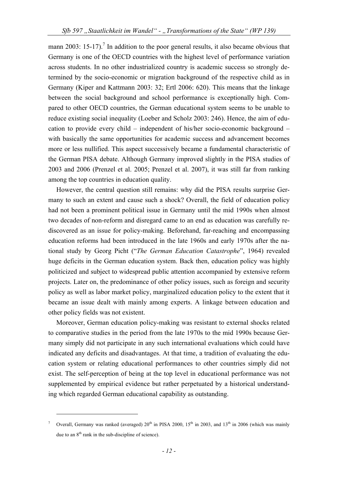mann 2003: 15-17).<sup>7</sup> In addition to the poor general results, it also became obvious that Germany is one of the OECD countries with the highest level of performance variation across students. In no other industrialized country is academic success so strongly determined by the socio-economic or migration background of the respective child as in Germany (Kiper and Kattmann 2003: 32; Ertl 2006: 620). This means that the linkage between the social background and school performance is exceptionally high. Compared to other OECD countries, the German educational system seems to be unable to reduce existing social inequality (Loeber and Scholz 2003: 246). Hence, the aim of education to provide every child – independent of his/her socio-economic background – with basically the same opportunities for academic success and advancement becomes more or less nullified. This aspect successively became a fundamental characteristic of the German PISA debate. Although Germany improved slightly in the PISA studies of 2003 and 2006 (Prenzel et al. 2005; Prenzel et al. 2007), it was still far from ranking among the top countries in education quality.

However, the central question still remains: why did the PISA results surprise Germany to such an extent and cause such a shock? Overall, the field of education policy had not been a prominent political issue in Germany until the mid 1990s when almost two decades of non-reform and disregard came to an end as education was carefully rediscovered as an issue for policy-making. Beforehand, far-reaching and encompassing education reforms had been introduced in the late 1960s and early 1970s after the national study by Georg Picht ("*The German Education Catastrophe*", 1964) revealed huge deficits in the German education system. Back then, education policy was highly politicized and subject to widespread public attention accompanied by extensive reform projects. Later on, the predominance of other policy issues, such as foreign and security policy as well as labor market policy, marginalized education policy to the extent that it became an issue dealt with mainly among experts. A linkage between education and other policy fields was not existent.

Moreover, German education policy-making was resistant to external shocks related to comparative studies in the period from the late 1970s to the mid 1990s because Germany simply did not participate in any such international evaluations which could have indicated any deficits and disadvantages. At that time, a tradition of evaluating the education system or relating educational performances to other countries simply did not exist. The self-perception of being at the top level in educational performance was not supplemented by empirical evidence but rather perpetuated by a historical understanding which regarded German educational capability as outstanding.

<sup>7</sup> Overall, Germany was ranked (averaged)  $20<sup>th</sup>$  in PISA 2000, 15<sup>th</sup> in 2003, and 13<sup>th</sup> in 2006 (which was mainly due to an  $8<sup>th</sup>$  rank in the sub-discipline of science).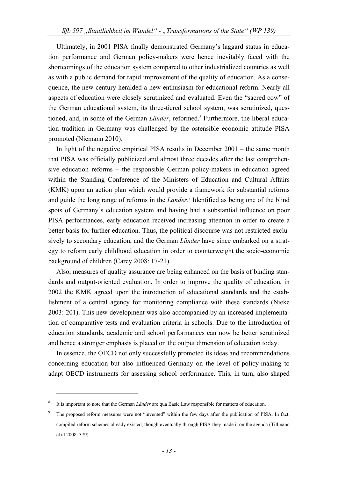Ultimately, in 2001 PISA finally demonstrated Germany's laggard status in education performance and German policy-makers were hence inevitably faced with the shortcomings of the education system compared to other industrialized countries as well as with a public demand for rapid improvement of the quality of education. As a consequence, the new century heralded a new enthusiasm for educational reform. Nearly all aspects of education were closely scrutinized and evaluated. Even the "sacred cow" of the German educational system, its three-tiered school system, was scrutinized, questioned, and, in some of the German *Länder*, reformed.<sup>8</sup> Furthermore, the liberal education tradition in Germany was challenged by the ostensible economic attitude PISA promoted (Niemann 2010).

In light of the negative empirical PISA results in December 2001 – the same month that PISA was officially publicized and almost three decades after the last comprehensive education reforms – the responsible German policy-makers in education agreed within the Standing Conference of the Ministers of Education and Cultural Affairs (KMK) upon an action plan which would provide a framework for substantial reforms and guide the long range of reforms in the *Länder*. 9 Identified as being one of the blind spots of Germany's education system and having had a substantial influence on poor PISA performances, early education received increasing attention in order to create a better basis for further education. Thus, the political discourse was not restricted exclusively to secondary education, and the German *Länder* have since embarked on a strategy to reform early childhood education in order to counterweight the socio-economic background of children (Carey 2008: 17-21).

Also, measures of quality assurance are being enhanced on the basis of binding standards and output-oriented evaluation. In order to improve the quality of education, in 2002 the KMK agreed upon the introduction of educational standards and the establishment of a central agency for monitoring compliance with these standards (Nieke 2003: 201). This new development was also accompanied by an increased implementation of comparative tests and evaluation criteria in schools. Due to the introduction of education standards, academic and school performances can now be better scrutinized and hence a stronger emphasis is placed on the output dimension of education today.

In essence, the OECD not only successfully promoted its ideas and recommendations concerning education but also influenced Germany on the level of policy-making to adapt OECD instruments for assessing school performance. This, in turn, also shaped

<sup>8</sup> It is important to note that the German *Länder* are qua Basic Law responsible for matters of education.

<sup>9</sup> The proposed reform measures were not "invented" within the few days after the publication of PISA. In fact, compiled reform schemes already existed, though eventually through PISA they made it on the agenda (Tillmann et al 2008: 379).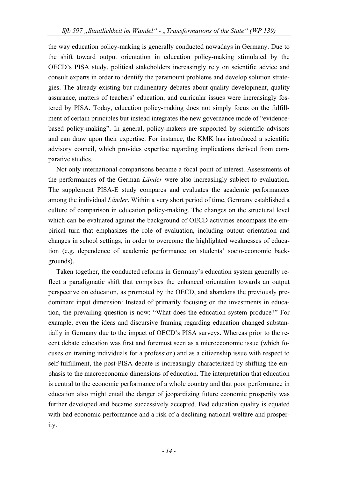the way education policy-making is generally conducted nowadays in Germany. Due to the shift toward output orientation in education policy-making stimulated by the OECD's PISA study, political stakeholders increasingly rely on scientific advice and consult experts in order to identify the paramount problems and develop solution strategies. The already existing but rudimentary debates about quality development, quality assurance, matters of teachers' education, and curricular issues were increasingly fostered by PISA. Today, education policy-making does not simply focus on the fulfillment of certain principles but instead integrates the new governance mode of "evidencebased policy-making". In general, policy-makers are supported by scientific advisors and can draw upon their expertise. For instance, the KMK has introduced a scientific advisory council, which provides expertise regarding implications derived from comparative studies.

Not only international comparisons became a focal point of interest. Assessments of the performances of the German *Länder* were also increasingly subject to evaluation. The supplement PISA-E study compares and evaluates the academic performances among the individual *Länder*. Within a very short period of time, Germany established a culture of comparison in education policy-making. The changes on the structural level which can be evaluated against the background of OECD activities encompass the empirical turn that emphasizes the role of evaluation, including output orientation and changes in school settings, in order to overcome the highlighted weaknesses of education (e.g. dependence of academic performance on students' socio-economic backgrounds).

Taken together, the conducted reforms in Germany's education system generally reflect a paradigmatic shift that comprises the enhanced orientation towards an output perspective on education, as promoted by the OECD, and abandons the previously predominant input dimension: Instead of primarily focusing on the investments in education, the prevailing question is now: "What does the education system produce?" For example, even the ideas and discursive framing regarding education changed substantially in Germany due to the impact of OECD's PISA surveys. Whereas prior to the recent debate education was first and foremost seen as a microeconomic issue (which focuses on training individuals for a profession) and as a citizenship issue with respect to self-fulfillment, the post-PISA debate is increasingly characterized by shifting the emphasis to the macroeconomic dimensions of education. The interpretation that education is central to the economic performance of a whole country and that poor performance in education also might entail the danger of jeopardizing future economic prosperity was further developed and became successively accepted. Bad education quality is equated with bad economic performance and a risk of a declining national welfare and prosperity.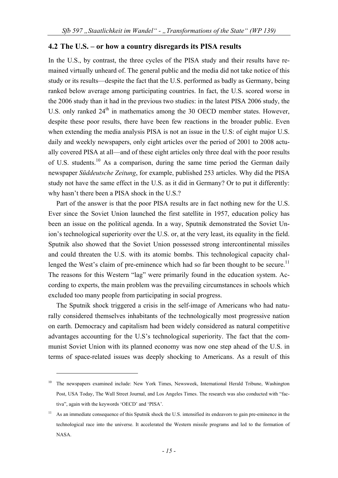#### **4.2 The U.S. – or how a country disregards its PISA results**

In the U.S., by contrast, the three cycles of the PISA study and their results have remained virtually unheard of. The general public and the media did not take notice of this study or its results—despite the fact that the U.S. performed as badly as Germany, being ranked below average among participating countries. In fact, the U.S. scored worse in the 2006 study than it had in the previous two studies: in the latest PISA 2006 study, the U.S. only ranked  $24<sup>th</sup>$  in mathematics among the 30 OECD member states. However, despite these poor results, there have been few reactions in the broader public. Even when extending the media analysis PISA is not an issue in the U.S: of eight major U.S. daily and weekly newspapers, only eight articles over the period of 2001 to 2008 actually covered PISA at all—and of these eight articles only three deal with the poor results of U.S. students.<sup>10</sup> As a comparison, during the same time period the German daily newspaper *Süddeutsche Zeitung*, for example, published 253 articles. Why did the PISA study not have the same effect in the U.S. as it did in Germany? Or to put it differently: why hasn't there been a PISA shock in the U.S.?

Part of the answer is that the poor PISA results are in fact nothing new for the U.S. Ever since the Soviet Union launched the first satellite in 1957, education policy has been an issue on the political agenda. In a way, Sputnik demonstrated the Soviet Union's technological superiority over the U.S. or, at the very least, its equality in the field. Sputnik also showed that the Soviet Union possessed strong intercontinental missiles and could threaten the U.S. with its atomic bombs. This technological capacity challenged the West's claim of pre-eminence which had so far been thought to be secure.<sup>11</sup> The reasons for this Western "lag" were primarily found in the education system. According to experts, the main problem was the prevailing circumstances in schools which excluded too many people from participating in social progress.

The Sputnik shock triggered a crisis in the self-image of Americans who had naturally considered themselves inhabitants of the technologically most progressive nation on earth. Democracy and capitalism had been widely considered as natural competitive advantages accounting for the U.S's technological superiority. The fact that the communist Soviet Union with its planned economy was now one step ahead of the U.S. in terms of space-related issues was deeply shocking to Americans. As a result of this

<sup>&</sup>lt;sup>10</sup> The newspapers examined include: New York Times, Newsweek, International Herald Tribune, Washington Post, USA Today, The Wall Street Journal, and Los Angeles Times. The research was also conducted with "factiva", again with the keywords 'OECD' and 'PISA'.

<sup>11</sup> As an immediate consequence of this Sputnik shock the U.S. intensified its endeavors to gain pre-eminence in the technological race into the universe. It accelerated the Western missile programs and led to the formation of NASA.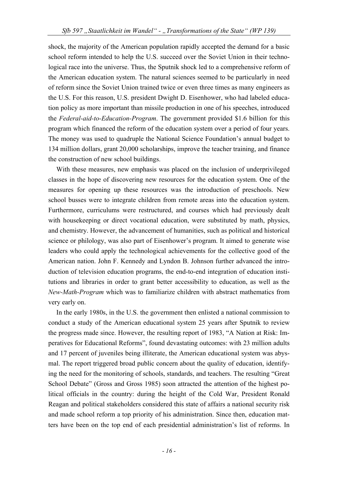shock, the majority of the American population rapidly accepted the demand for a basic school reform intended to help the U.S. succeed over the Soviet Union in their technological race into the universe. Thus, the Sputnik shock led to a comprehensive reform of the American education system. The natural sciences seemed to be particularly in need of reform since the Soviet Union trained twice or even three times as many engineers as the U.S. For this reason, U.S. president Dwight D. Eisenhower, who had labeled education policy as more important than missile production in one of his speeches, introduced the *Federal-aid-to-Education-Program*. The government provided \$1.6 billion for this program which financed the reform of the education system over a period of four years. The money was used to quadruple the National Science Foundation's annual budget to 134 million dollars, grant 20,000 scholarships, improve the teacher training, and finance the construction of new school buildings.

With these measures, new emphasis was placed on the inclusion of underprivileged classes in the hope of discovering new resources for the education system. One of the measures for opening up these resources was the introduction of preschools. New school busses were to integrate children from remote areas into the education system. Furthermore, curriculums were restructured, and courses which had previously dealt with housekeeping or direct vocational education, were substituted by math, physics, and chemistry. However, the advancement of humanities, such as political and historical science or philology, was also part of Eisenhower's program. It aimed to generate wise leaders who could apply the technological achievements for the collective good of the American nation. John F. Kennedy and Lyndon B. Johnson further advanced the introduction of television education programs, the end-to-end integration of education institutions and libraries in order to grant better accessibility to education, as well as the *New-Math-Program* which was to familiarize children with abstract mathematics from very early on.

In the early 1980s, in the U.S. the government then enlisted a national commission to conduct a study of the American educational system 25 years after Sputnik to review the progress made since. However, the resulting report of 1983, "A Nation at Risk: Imperatives for Educational Reforms", found devastating outcomes: with 23 million adults and 17 percent of juveniles being illiterate, the American educational system was abysmal. The report triggered broad public concern about the quality of education, identifying the need for the monitoring of schools, standards, and teachers. The resulting "Great School Debate" (Gross and Gross 1985) soon attracted the attention of the highest political officials in the country: during the height of the Cold War, President Ronald Reagan and political stakeholders considered this state of affairs a national security risk and made school reform a top priority of his administration. Since then, education matters have been on the top end of each presidential administration's list of reforms. In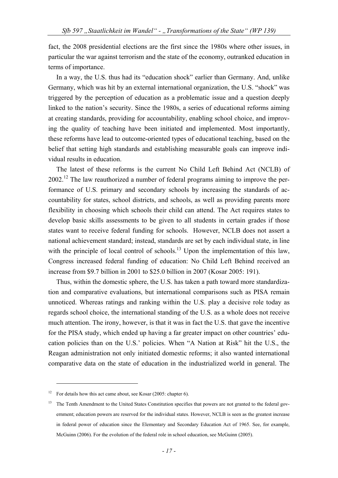fact, the 2008 presidential elections are the first since the 1980s where other issues, in particular the war against terrorism and the state of the economy, outranked education in terms of importance.

In a way, the U.S. thus had its "education shock" earlier than Germany. And, unlike Germany, which was hit by an external international organization, the U.S. "shock" was triggered by the perception of education as a problematic issue and a question deeply linked to the nation's security. Since the 1980s, a series of educational reforms aiming at creating standards, providing for accountability, enabling school choice, and improving the quality of teaching have been initiated and implemented. Most importantly, these reforms have lead to outcome-oriented types of educational teaching, based on the belief that setting high standards and establishing measurable goals can improve individual results in education.

The latest of these reforms is the current No Child Left Behind Act (NCLB) of  $2002$ <sup>12</sup>. The law reauthorized a number of federal programs aiming to improve the performance of U.S. primary and secondary schools by increasing the standards of accountability for states, school districts, and schools, as well as providing parents more flexibility in choosing which schools their child can attend. The Act requires states to develop basic skills assessments to be given to all students in certain grades if those states want to receive federal funding for schools. However, NCLB does not assert a national achievement standard; instead, standards are set by each individual state, in line with the principle of local control of schools.<sup>13</sup> Upon the implementation of this law, Congress increased federal funding of education: No Child Left Behind received an increase from \$9.7 billion in 2001 to \$25.0 billion in 2007 (Kosar 2005: 191).

Thus, within the domestic sphere, the U.S. has taken a path toward more standardization and comparative evaluations, but international comparisons such as PISA remain unnoticed. Whereas ratings and ranking within the U.S. play a decisive role today as regards school choice, the international standing of the U.S. as a whole does not receive much attention. The irony, however, is that it was in fact the U.S. that gave the incentive for the PISA study, which ended up having a far greater impact on other countries' education policies than on the U.S.' policies. When "A Nation at Risk" hit the U.S., the Reagan administration not only initiated domestic reforms; it also wanted international comparative data on the state of education in the industrialized world in general. The

<sup>&</sup>lt;sup>12</sup> For details how this act came about, see Kosar (2005: chapter 6).

<sup>13</sup> The Tenth Amendment to the United States Constitution specifies that powers are not granted to the federal government; education powers are reserved for the individual states. However, NCLB is seen as the greatest increase in federal power of education since the Elementary and Secondary Education Act of 1965. See, for example, McGuinn (2006). For the evolution of the federal role in school education, see McGuinn (2005).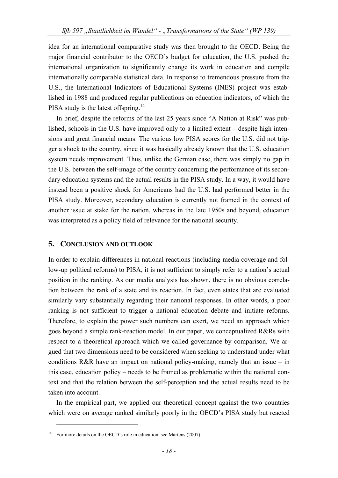idea for an international comparative study was then brought to the OECD. Being the major financial contributor to the OECD's budget for education, the U.S. pushed the international organization to significantly change its work in education and compile internationally comparable statistical data. In response to tremendous pressure from the U.S., the International Indicators of Educational Systems (INES) project was established in 1988 and produced regular publications on education indicators, of which the PISA study is the latest offspring.<sup>14</sup>

In brief, despite the reforms of the last 25 years since "A Nation at Risk" was published, schools in the U.S. have improved only to a limited extent – despite high intensions and great financial means. The various low PISA scores for the U.S. did not trigger a shock to the country, since it was basically already known that the U.S. education system needs improvement. Thus, unlike the German case, there was simply no gap in the U.S. between the self-image of the country concerning the performance of its secondary education systems and the actual results in the PISA study. In a way, it would have instead been a positive shock for Americans had the U.S. had performed better in the PISA study. Moreover, secondary education is currently not framed in the context of another issue at stake for the nation, whereas in the late 1950s and beyond, education was interpreted as a policy field of relevance for the national security.

#### **5. CONCLUSION AND OUTLOOK**

In order to explain differences in national reactions (including media coverage and follow-up political reforms) to PISA, it is not sufficient to simply refer to a nation's actual position in the ranking. As our media analysis has shown, there is no obvious correlation between the rank of a state and its reaction. In fact, even states that are evaluated similarly vary substantially regarding their national responses. In other words, a poor ranking is not sufficient to trigger a national education debate and initiate reforms. Therefore, to explain the power such numbers can exert, we need an approach which goes beyond a simple rank-reaction model. In our paper, we conceptualized R&Rs with respect to a theoretical approach which we called governance by comparison. We argued that two dimensions need to be considered when seeking to understand under what conditions R&R have an impact on national policy-making, namely that an issue – in this case, education policy – needs to be framed as problematic within the national context and that the relation between the self-perception and the actual results need to be taken into account.

In the empirical part, we applied our theoretical concept against the two countries which were on average ranked similarly poorly in the OECD's PISA study but reacted

<sup>14</sup> For more details on the OECD's role in education, see Martens (2007).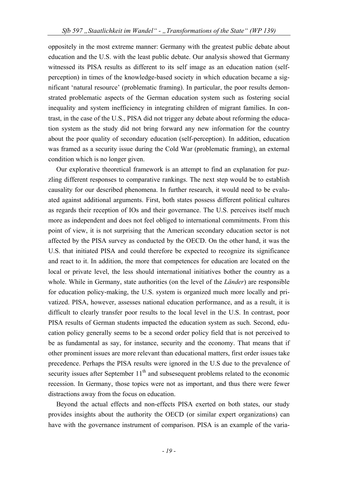oppositely in the most extreme manner: Germany with the greatest public debate about education and the U.S. with the least public debate. Our analysis showed that Germany witnessed its PISA results as different to its self image as an education nation (selfperception) in times of the knowledge-based society in which education became a significant 'natural resource' (problematic framing). In particular, the poor results demonstrated problematic aspects of the German education system such as fostering social inequality and system inefficiency in integrating children of migrant families. In contrast, in the case of the U.S., PISA did not trigger any debate about reforming the education system as the study did not bring forward any new information for the country about the poor quality of secondary education (self-perception). In addition, education was framed as a security issue during the Cold War (problematic framing), an external condition which is no longer given.

Our explorative theoretical framework is an attempt to find an explanation for puzzling different responses to comparative rankings. The next step would be to establish causality for our described phenomena. In further research, it would need to be evaluated against additional arguments. First, both states possess different political cultures as regards their reception of IOs and their governance. The U.S. perceives itself much more as independent and does not feel obliged to international commitments. From this point of view, it is not surprising that the American secondary education sector is not affected by the PISA survey as conducted by the OECD. On the other hand, it was the U.S. that initiated PISA and could therefore be expected to recognize its significance and react to it. In addition, the more that competences for education are located on the local or private level, the less should international initiatives bother the country as a whole. While in Germany, state authorities (on the level of the *Länder*) are responsible for education policy-making, the U.S. system is organized much more locally and privatized. PISA, however, assesses national education performance, and as a result, it is difficult to clearly transfer poor results to the local level in the U.S. In contrast, poor PISA results of German students impacted the education system as such. Second, education policy generally seems to be a second order policy field that is not perceived to be as fundamental as say, for instance, security and the economy. That means that if other prominent issues are more relevant than educational matters, first order issues take precedence. Perhaps the PISA results were ignored in the U.S due to the prevalence of security issues after September  $11<sup>th</sup>$  and subsesequent problems related to the economic recession. In Germany, those topics were not as important, and thus there were fewer distractions away from the focus on education.

Beyond the actual effects and non-effects PISA exerted on both states, our study provides insights about the authority the OECD (or similar expert organizations) can have with the governance instrument of comparison. PISA is an example of the varia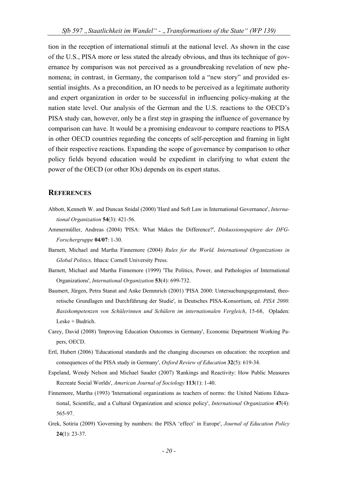tion in the reception of international stimuli at the national level. As shown in the case of the U.S., PISA more or less stated the already obvious, and thus its technique of governance by comparison was not perceived as a groundbreaking revelation of new phenomena; in contrast, in Germany, the comparison told a "new story" and provided essential insights. As a precondition, an IO needs to be perceived as a legitimate authority and expert organization in order to be successful in influencing policy-making at the nation state level. Our analysis of the German and the U.S. reactions to the OECD's PISA study can, however, only be a first step in grasping the influence of governance by comparison can have. It would be a promising endeavour to compare reactions to PISA in other OECD countries regarding the concepts of self-perception and framing in light of their respective reactions. Expanding the scope of governance by comparison to other policy fields beyond education would be expedient in clarifying to what extent the power of the OECD (or other IOs) depends on its expert status.

#### **REFERENCES**

- Abbott, Kenneth W. and Duncan Snidal (2000) 'Hard and Soft Law in International Governance', *International Organization* **54**(3): 421-56.
- Ammermüller, Andreas (2004) 'PISA: What Makes the Difference?', *Diskussionspapiere der DFG-Forschergruppe* **04/07**: 1-30.
- Barnett, Michael and Martha Finnemore (2004) *Rules for the World. International Organizations in Global Politics,* Ithaca: Cornell University Press.
- Barnett, Michael and Martha Finnemore (1999) 'The Politics, Power, and Pathologies of International Organizations', *International Organization* **53**(4): 699-732.
- Baumert, Jürgen, Petra Stanat and Anke Demmrich (2001) 'PISA 2000: Untersuchungsgegenstand, theoretische Grundlagen und Durchführung der Studie', in Deutsches PISA-Konsortium, ed. *PISA 2000. Basiskompetenzen von Schülerinnen und Schülern im internationalen Vergleich*, 15-68, Opladen: Leske + Budrich.
- Carey, David (2008) 'Improving Education Outcomes in Germany', Economic Department Working Papers, OECD.
- Ertl, Hubert (2006) 'Educational standards and the changing discourses on education: the reception and consequences of the PISA study in Germany', *Oxford Review of Education* **32**(5): 619-34.
- Espeland, Wendy Nelson and Michael Sauder (2007) 'Rankings and Reactivity: How Public Measures Recreate Social Worlds', *American Journal of Sociology* **113**(1): 1-40.
- Finnemore, Martha (1993) 'International organizations as teachers of norms: the United Nations Educational, Scientific, and a Cultural Organization and science policy', *International Organization* **47**(4): 565-97.
- Grek, Sotiria (2009) 'Governing by numbers: the PISA 'effect' in Europe', *Journal of Education Policy* **24(**1): 23-37.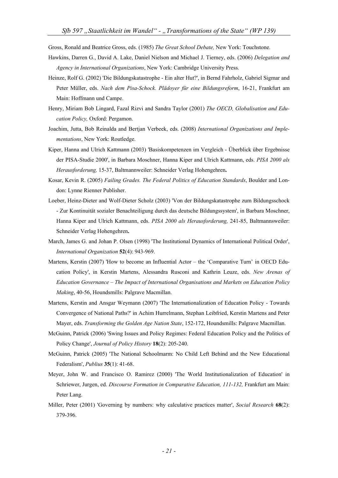Gross, Ronald and Beatrice Gross, eds. (1985) *The Great School Debate,* New York: Touchstone.

- Hawkins, Darren G., David A. Lake, Daniel Nielson and Michael J. Tierney, eds. (2006) *Delegation and Agency in International Organizations*, New York: Cambridge University Press.
- Heinze, Rolf G. (2002) 'Die Bildungskatastrophe Ein alter Hut?', in Bernd Fahrholz, Gabriel Sigmar and Peter Müller, eds. *Nach dem Pisa-Schock. Plädoyer für eine Bildungsreform*, 16-21, Frankfurt am Main: Hoffmann und Campe.
- Henry, Miriam Bob Lingard, Fazal Rizvi and Sandra Taylor (2001) *The OECD, Globalisation and Education Policy,* Oxford: Pergamon.
- Joachim, Jutta, Bob Reinalda and Bertjan Verbeek, eds. (2008) *International Organizations and Implementations*, New York: Routledge.
- Kiper, Hanna and Ulrich Kattmann (2003) 'Basiskompetenzen im Vergleich Überblick über Ergebnisse der PISA-Studie 2000', in Barbara Moschner, Hanna Kiper and Ulrich Kattmann, eds. *PISA 2000 als Herausforderung,* 15-37, Baltmannweiler: Schneider Verlag Hohengehren**.**
- Kosar, Kevin R. (2005) *Failing Grades. The Federal Politics of Education Standards*, Boulder and London: Lynne Rienner Publisher.
- Loeber, Heinz-Dieter and Wolf-Dieter Scholz (2003) 'Von der Bildungskatastrophe zum Bildungsschock - Zur Kontinuität sozialer Benachteiligung durch das deutsche Bildungssystem', in Barbara Moschner, Hanna Kiper and Ulrich Kattmann, eds. *PISA 2000 als Herausforderung,* 241-85, Baltmannsweiler: Schneider Verlag Hohengehren**.**
- March, James G. and Johan P. Olsen (1998) 'The Institutional Dynamics of International Political Order', *International Organization* **52**(4): 943-969.
- Martens, Kerstin (2007) 'How to become an Influential Actor the 'Comparative Turn' in OECD Education Policy', in Kerstin Martens, Alessandra Rusconi and Kathrin Leuze, eds. *New Arenas of Education Governance – The Impact of International Organisations and Markets on Education Policy Making*, 40-56, Houndsmills: Palgrave Macmillan.
- Martens, Kerstin and Ansgar Weymann (2007) 'The Internationalization of Education Policy Towards Convergence of National Paths?' in Achim Hurrelmann, Stephan Leibfried, Kerstin Martens and Peter Mayer, eds. *Transforming the Golden Age Nation State*, 152-172, Houndsmills: Palgrave Macmillan.
- McGuinn, Patrick (2006) 'Swing Issues and Policy Regimes: Federal Education Policy and the Politics of Policy Change', *Journal of Policy History* **18**(2): 205-240.
- McGuinn, Patrick (2005) 'The National Schoolmarm: No Child Left Behind and the New Educational Federalism', *Publius* **35**(1): 41-68.
- Meyer, John W. and Francisco O. Ramirez (2000) 'The World Institutionalization of Education' in Schriewer, Jurgen, ed. *Discourse Formation in Comparative Education, 111-132,* Frankfurt am Main: Peter Lang.
- Miller, Peter (2001) 'Governing by numbers: why calculative practices matter', *Social Research* **68**(2): 379-396.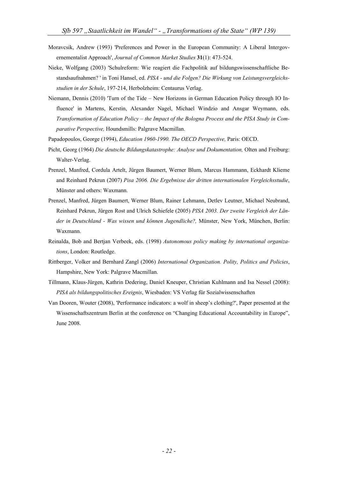- Moravcsik, Andrew (1993) 'Preferences and Power in the European Community: A Liberal Intergovernementalist Approach', *Journal of Common Market Studies* **31**(1): 473-524.
- Nieke, Wolfgang (2003) 'Schulreform: Wie reagiert die Fachpolitik auf bildungswissenschaftliche Bestandsaufnahmen? ' in Toni Hansel, ed. *PISA - und die Folgen? Die Wirkung von Leistungsvergleichsstudien in der Schule*, 197-214, Herbolzheim: Centaurus Verlag.
- Niemann, Dennis (2010) 'Turn of the Tide New Horizons in German Education Policy through IO Influence' in Martens, Kerstin, Alexander Nagel, Michael Windzio and Ansgar Weymann, eds. *Transformation of Education Policy – the Impact of the Bologna Process and the PISA Study in Comparative Perspective,* Houndsmills: Palgrave Macmillan.
- Papadopoulos, George (1994), *Education 1960-1990. The OECD Perspective,* Paris: OECD.
- Picht, Georg (1964) *Die deutsche Bildungskatastrophe: Analyse und Dokumentation,* Olten and Freiburg: Walter-Verlag.
- Prenzel, Manfred, Cordula Artelt, Jürgen Baumert, Werner Blum, Marcus Hammann, Eckhardt Klieme and Reinhard Pekrun (2007) *Pisa 2006. Die Ergebnisse der dritten internationalen Vergleichsstudie*, Münster and others: Waxmann.
- Prenzel, Manfred, Jürgen Baumert, Werner Blum, Rainer Lehmann, Detlev Leutner, Michael Neubrand, Reinhard Pekrun, Jürgen Rost and Ulrich Schiefele (2005) *PISA 2003. Der zweite Vergleich der Länder in Deutschland - Was wissen und können Jugendliche?,* Münster, New York, München, Berlin: Waxmann.
- Reinalda, Bob and Bertjan Verbeek, eds. (1998) *Autonomous policy making by international organizations*, London: Routledge.
- Rittberger, Volker and Bernhard Zangl (2006) *International Organization. Polity, Politics and Policies*, Hampshire, New York: Palgrave Macmillan.
- Tillmann, Klaus-Jürgen, Kathrin Dedering, Daniel Kneuper, Christian Kuhlmann and Isa Nessel (2008): *PISA als bildungspolitisches Ereignis*, Wiesbaden: VS Verlag für Sozialwissenschaften
- Van Dooren, Wouter (2008), 'Performance indicators: a wolf in sheep's clothing?', Paper presented at the Wissenschaftszentrum Berlin at the conference on "Changing Educational Accountability in Europe", June 2008.